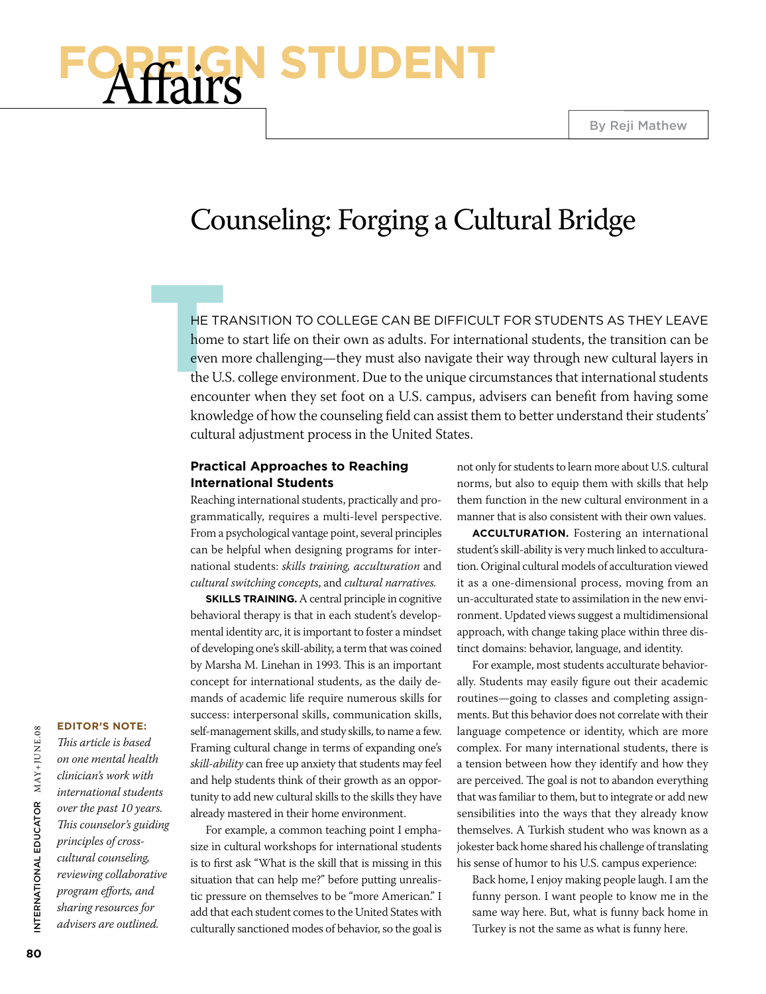# **Foreign Student** Affairs

# Counseling: Forging a Cultural Bridge

HE TRANSITI<br>home to start<br>even more chart<br>the U.S. colleg he transition to college can be difficult for students as they leave home to start life on their own as adults. For international students, the transition can be even more challenging—they must also navigate their way through new cultural layers in the U.S. college environment. Due to the unique circumstances that international students encounter when they set foot on a U.S. campus, advisers can benefit from having some knowledge of how the counseling field can assist them to better understand their students' cultural adjustment process in the United States.

#### **Practical Approaches to Reaching International Students**

Reaching international students, practically and programmatically, requires a multi-level perspective. From a psychological vantage point, several principles can be helpful when designing programs for international students: *skills training, acculturation* and *cultural switching concepts*, and *cultural narratives.* 

**SKILLS TRAINING.** A central principle in cognitive behavioral therapy is that in each student's developmental identity arc, it is important to foster a mindset of developing one's skill-ability, a term that was coined by Marsha M. Linehan in 1993. This is an important concept for international students, as the daily demands of academic life require numerous skills for success: interpersonal skills, communication skills, self-management skills, and study skills, to name a few. Framing cultural change in terms of expanding one's *skill-ability* can free up anxiety that students may feel and help students think of their growth as an opportunity to add new cultural skills to the skills they have already mastered in their home environment.

For example, a common teaching point I emphasize in cultural workshops for international students is to first ask "What is the skill that is missing in this situation that can help me?" before putting unrealistic pressure on themselves to be "more American." I add that each student comes to the United States with culturally sanctioned modes of behavior, so the goal is

not only for students to learn more about U.S. cultural norms, but also to equip them with skills that help them function in the new cultural environment in a manner that is also consistent with their own values.

**Acculturation.** Fostering an international student's skill-ability is very much linked to acculturation. Original cultural models of acculturation viewed it as a one-dimensional process, moving from an un-acculturated state to assimilation in the new environment. Updated views suggest a multidimensional approach, with change taking place within three distinct domains: behavior, language, and identity.

For example, most students acculturate behaviorally. Students may easily figure out their academic routines—going to classes and completing assignments. But this behavior does not correlate with their language competence or identity, which are more complex. For many international students, there is a tension between how they identify and how they are perceived. The goal is not to abandon everything that was familiar to them, but to integrate or add new sensibilities into the ways that they already know themselves. A Turkish student who was known as a jokester back home shared his challenge of translating his sense of humor to his U.S. campus experience:

Back home, I enjoy making people laugh. I am the funny person. I want people to know me in the same way here. But, what is funny back home in Turkey is not the same as what is funny here.

#### **Editor's Note:**

*This article is based on one mental health clinician's work with international students over the past 10 years. This counselor's guiding principles of crosscultural counseling, reviewing collaborative program efforts, and sharing resources for advisers are outlined.*

or M AY+J UNE .08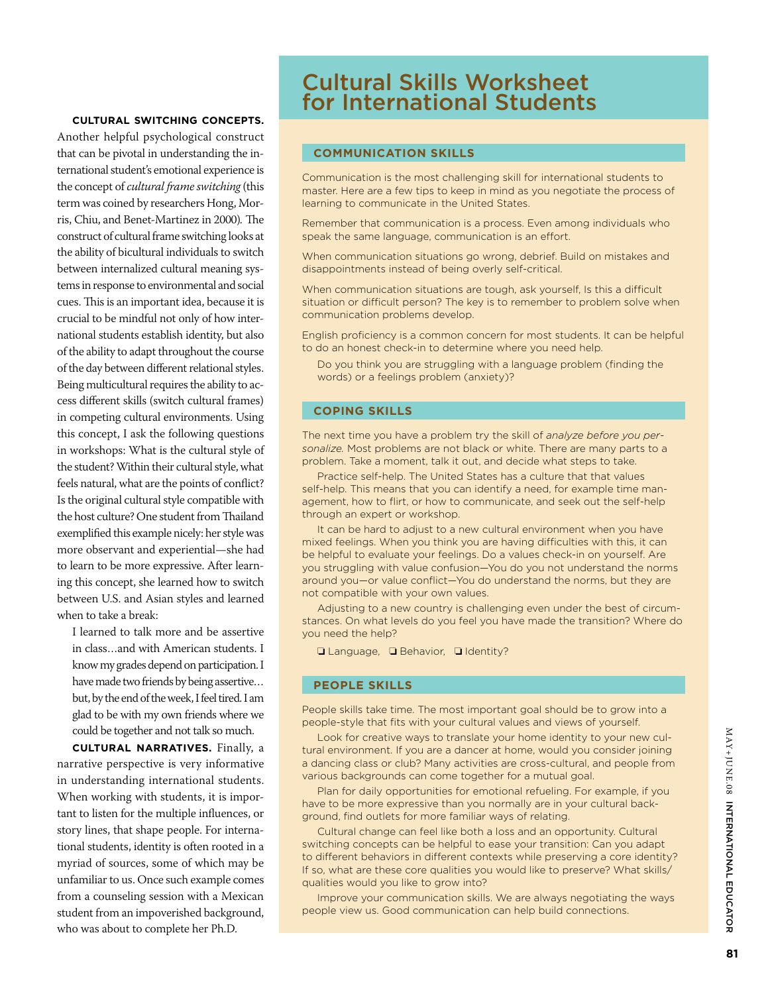#### **Cultural switching concepts.**

Another helpful psychological construct that can be pivotal in understanding the international student's emotional experience is the concept of *cultural frame switching* (this term was coined by researchers Hong, Morris, Chiu, and Benet-Martinez in 2000)*.* The construct of cultural frame switching looks at the ability of bicultural individuals to switch between internalized cultural meaning systems in response to environmental and social cues. This is an important idea, because it is crucial to be mindful not only of how international students establish identity, but also of the ability to adapt throughout the course of the day between different relational styles. Being multicultural requires the ability to access different skills (switch cultural frames) in competing cultural environments. Using this concept, I ask the following questions in workshops: What is the cultural style of the student? Within their cultural style, what feels natural, what are the points of conflict? Is the original cultural style compatible with the host culture? One student from Thailand exemplified this example nicely: her style was more observant and experiential—she had to learn to be more expressive. After learning this concept, she learned how to switch between U.S. and Asian styles and learned when to take a break:

I learned to talk more and be assertive in class…and with American students. I know my grades depend on participation. I have made two friends by being assertive… but, by the end of the week, I feel tired. I am glad to be with my own friends where we could be together and not talk so much.

**Cultural narratives.** Finally, a narrative perspective is very informative in understanding international students. When working with students, it is important to listen for the multiple influences, or story lines, that shape people. For international students, identity is often rooted in a myriad of sources, some of which may be unfamiliar to us. Once such example comes from a counseling session with a Mexican student from an impoverished background, who was about to complete her Ph.D.

### Cultural Skills Worksheet for International Students

#### **Communication Skills**

Communication is the most challenging skill for international students to master. Here are a few tips to keep in mind as you negotiate the process of learning to communicate in the United States.

Remember that communication is a process. Even among individuals who speak the same language, communication is an effort.

When communication situations go wrong, debrief. Build on mistakes and disappointments instead of being overly self-critical.

When communication situations are tough, ask yourself, Is this a difficult situation or difficult person? The key is to remember to problem solve when communication problems develop.

English proficiency is a common concern for most students. It can be helpful to do an honest check-in to determine where you need help.

Do you think you are struggling with a language problem (finding the words) or a feelings problem (anxiety)?

#### **Coping Skills**

The next time you have a problem try the skill of *analyze before you personalize.* Most problems are not black or white. There are many parts to a problem. Take a moment, talk it out, and decide what steps to take.

Practice self-help. The United States has a culture that that values self-help. This means that you can identify a need, for example time management, how to flirt, or how to communicate, and seek out the self-help through an expert or workshop.

It can be hard to adjust to a new cultural environment when you have mixed feelings. When you think you are having difficulties with this, it can be helpful to evaluate your feelings. Do a values check-in on yourself. Are you struggling with value confusion—You do you not understand the norms around you—or value conflict—You do understand the norms, but they are not compatible with your own values.

Adjusting to a new country is challenging even under the best of circumstances. On what levels do you feel you have made the transition? Where do you need the help?

❏ Language, ❏ Behavior, ❏ Identity?

#### **People Skills**

People skills take time. The most important goal should be to grow into a people-style that fits with your cultural values and views of yourself.

Look for creative ways to translate your home identity to your new cultural environment. If you are a dancer at home, would you consider joining a dancing class or club? Many activities are cross-cultural, and people from various backgrounds can come together for a mutual goal.

Plan for daily opportunities for emotional refueling. For example, if you have to be more expressive than you normally are in your cultural background, find outlets for more familiar ways of relating.

Cultural change can feel like both a loss and an opportunity. Cultural switching concepts can be helpful to ease your transition: Can you adapt to different behaviors in different contexts while preserving a core identity? If so, what are these core qualities you would like to preserve? What skills/ qualities would you like to grow into?

Improve your communication skills. We are always negotiating the ways people view us. Good communication can help build connections.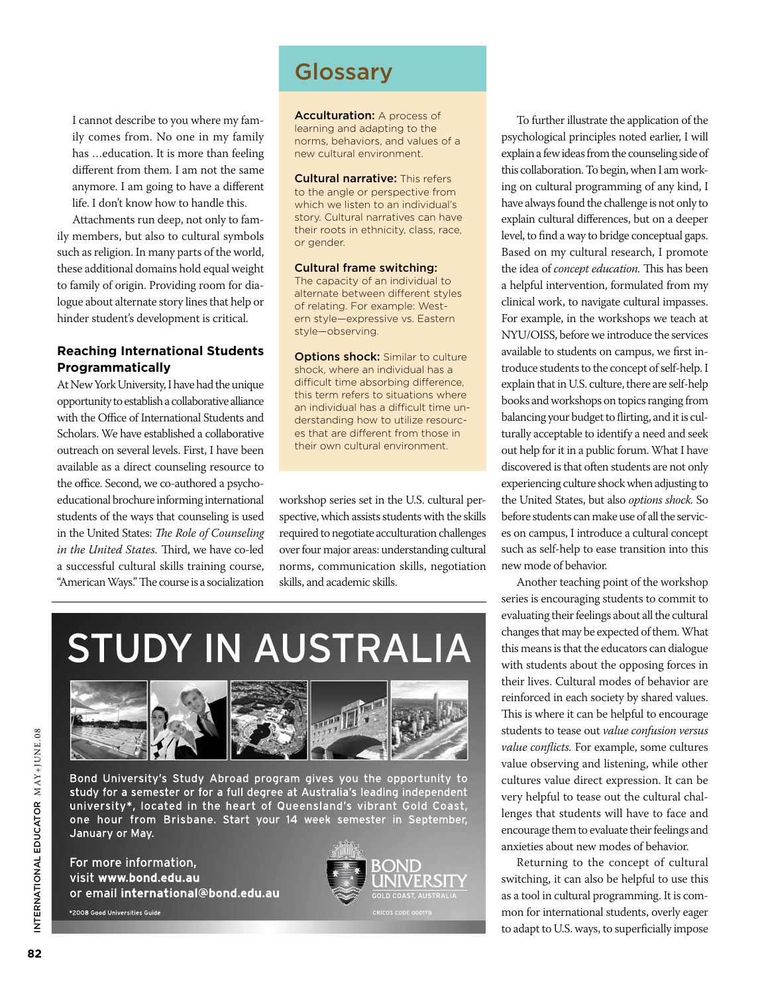I cannot describe to you where my family comes from. No one in my family has …education. It is more than feeling different from them. I am not the same anymore. I am going to have a different life. I don't know how to handle this.

Attachments run deep, not only to family members, but also to cultural symbols such as religion. In many parts of the world, these additional domains hold equal weight to family of origin. Providing room for dialogue about alternate story lines that help or hinder student's development is critical.

#### **Reaching International Students Programmatically**

At New York University, I have had the unique opportunity to establish a collaborative alliance with the Office of International Students and Scholars. We have established a collaborative outreach on several levels. First, I have been available as a direct counseling resource to the office. Second, we co-authored a psychoeducational brochure informing international students of the ways that counseling is used in the United States: *The Role of Counseling in the United States.* Third, we have co-led a successful cultural skills training course, "American Ways." The course is a socialization

## **Glossary**

Acculturation: A process of learning and adapting to the norms, behaviors, and values of a new cultural environment.

**Cultural narrative: This refers** to the angle or perspective from which we listen to an individual's story. Cultural narratives can have their roots in ethnicity, class, race, or gender.

Cultural frame switching: The capacity of an individual to alternate between different styles of relating. For example: Western style—expressive vs. Eastern style—observing.

**Options shock:** Similar to culture shock, where an individual has a difficult time absorbing difference, this term refers to situations where an individual has a difficult time understanding how to utilize resources that are different from those in their own cultural environment.

workshop series set in the U.S. cultural perspective, which assists students with the skills required to negotiate acculturation challenges over four major areas: understanding cultural norms, communication skills, negotiation skills, and academic skills.

# **STUDY IN AUSTRALIA**



Bond University's Study Abroad program gives you the opportunity to study for a semester or for a full degree at Australia's leading independent university\*, located in the heart of Queensland's vibrant Gold Coast, one hour from Brisbane. Start your 14 week semester in September, January or May.

For more information, visit www.bond.edu.au or email international@bond.edu.au \*2008 Good Universities Guide



To further illustrate the application of the psychological principles noted earlier, I will explain a few ideas from the counseling side of this collaboration. To begin, when I am working on cultural programming of any kind, I have always found the challenge is not only to explain cultural differences, but on a deeper level, to find a way to bridge conceptual gaps. Based on my cultural research, I promote the idea of *concept education.* This has been a helpful intervention, formulated from my clinical work, to navigate cultural impasses. For example, in the workshops we teach at NYU/OISS, before we introduce the services available to students on campus, we first introduce students to the concept of self-help. I explain that in U.S. culture, there are self-help books and workshops on topics ranging from balancing your budget to flirting, and it is culturally acceptable to identify a need and seek out help for it in a public forum. What I have discovered is that often students are not only experiencing culture shock when adjusting to the United States, but also *options shock.* So before students can make use of all the services on campus, I introduce a cultural concept such as self-help to ease transition into this new mode of behavior.

Another teaching point of the workshop series is encouraging students to commit to evaluating their feelings about all the cultural changes that may be expected of them. What this means is that the educators can dialogue with students about the opposing forces in their lives. Cultural modes of behavior are reinforced in each society by shared values. This is where it can be helpful to encourage students to tease out *value confusion versus value conflicts.* For example, some cultures value observing and listening, while other cultures value direct expression. It can be very helpful to tease out the cultural challenges that students will have to face and encourage them to evaluate their feelings and anxieties about new modes of behavior.

Returning to the concept of cultural switching, it can also be helpful to use this as a tool in cultural programming. It is common for international students, overly eager to adapt to U.S. ways, to superficially impose